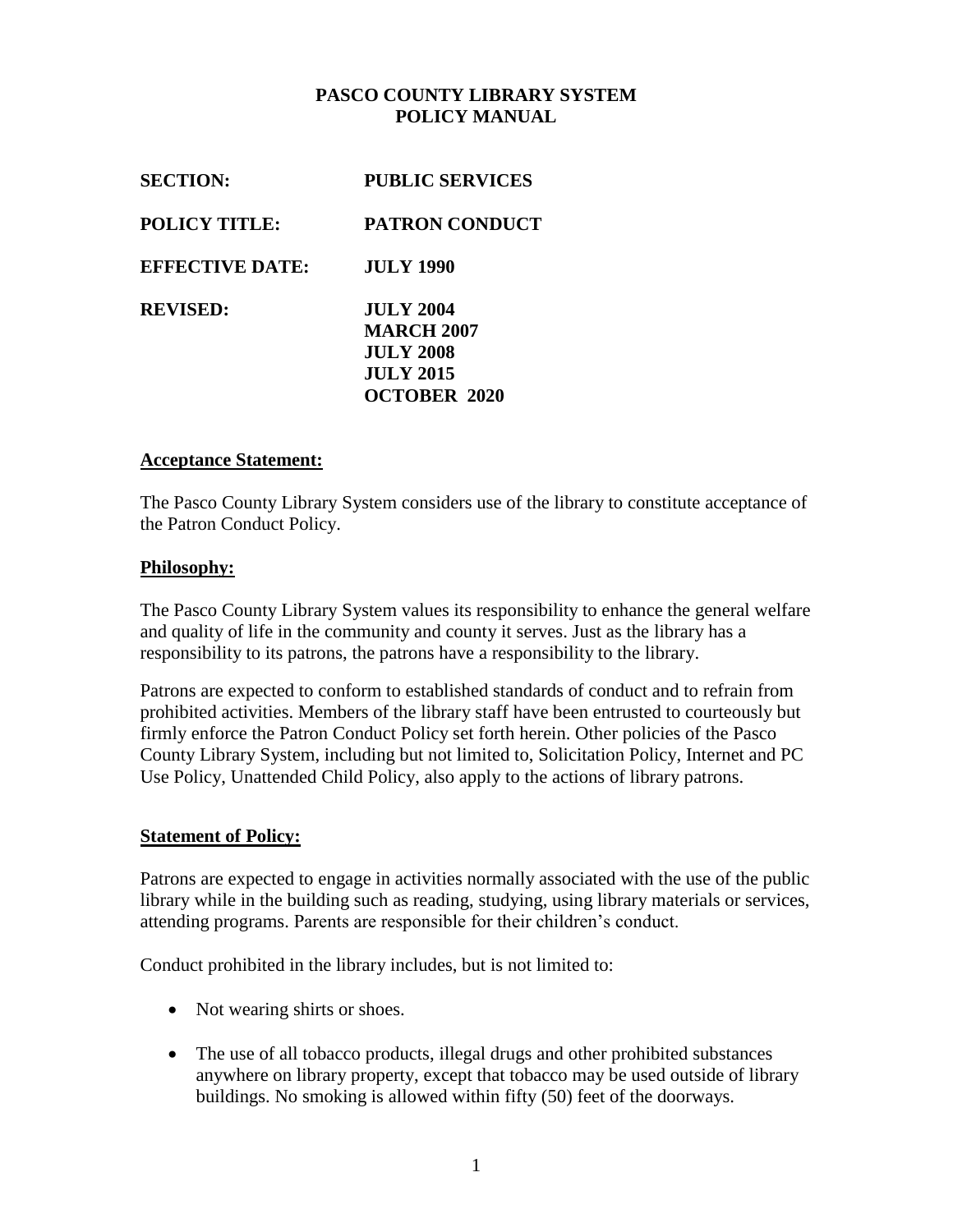## **PASCO COUNTY LIBRARY SYSTEM POLICY MANUAL**

| <b>SECTION:</b>        | <b>PUBLIC SERVICES</b>                                                                               |
|------------------------|------------------------------------------------------------------------------------------------------|
| <b>POLICY TITLE:</b>   | <b>PATRON CONDUCT</b>                                                                                |
| <b>EFFECTIVE DATE:</b> | <b>JULY 1990</b>                                                                                     |
| <b>REVISED:</b>        | <b>JULY 2004</b><br><b>MARCH 2007</b><br><b>JULY 2008</b><br><b>JULY 2015</b><br><b>OCTOBER 2020</b> |

### **Acceptance Statement:**

The Pasco County Library System considers use of the library to constitute acceptance of the Patron Conduct Policy.

### **Philosophy:**

The Pasco County Library System values its responsibility to enhance the general welfare and quality of life in the community and county it serves. Just as the library has a responsibility to its patrons, the patrons have a responsibility to the library.

Patrons are expected to conform to established standards of conduct and to refrain from prohibited activities. Members of the library staff have been entrusted to courteously but firmly enforce the Patron Conduct Policy set forth herein. Other policies of the Pasco County Library System, including but not limited to, Solicitation Policy, Internet and PC Use Policy, Unattended Child Policy, also apply to the actions of library patrons.

#### **Statement of Policy:**

Patrons are expected to engage in activities normally associated with the use of the public library while in the building such as reading, studying, using library materials or services, attending programs. Parents are responsible for their children's conduct.

Conduct prohibited in the library includes, but is not limited to:

- Not wearing shirts or shoes.
- The use of all tobacco products, illegal drugs and other prohibited substances anywhere on library property, except that tobacco may be used outside of library buildings. No smoking is allowed within fifty (50) feet of the doorways.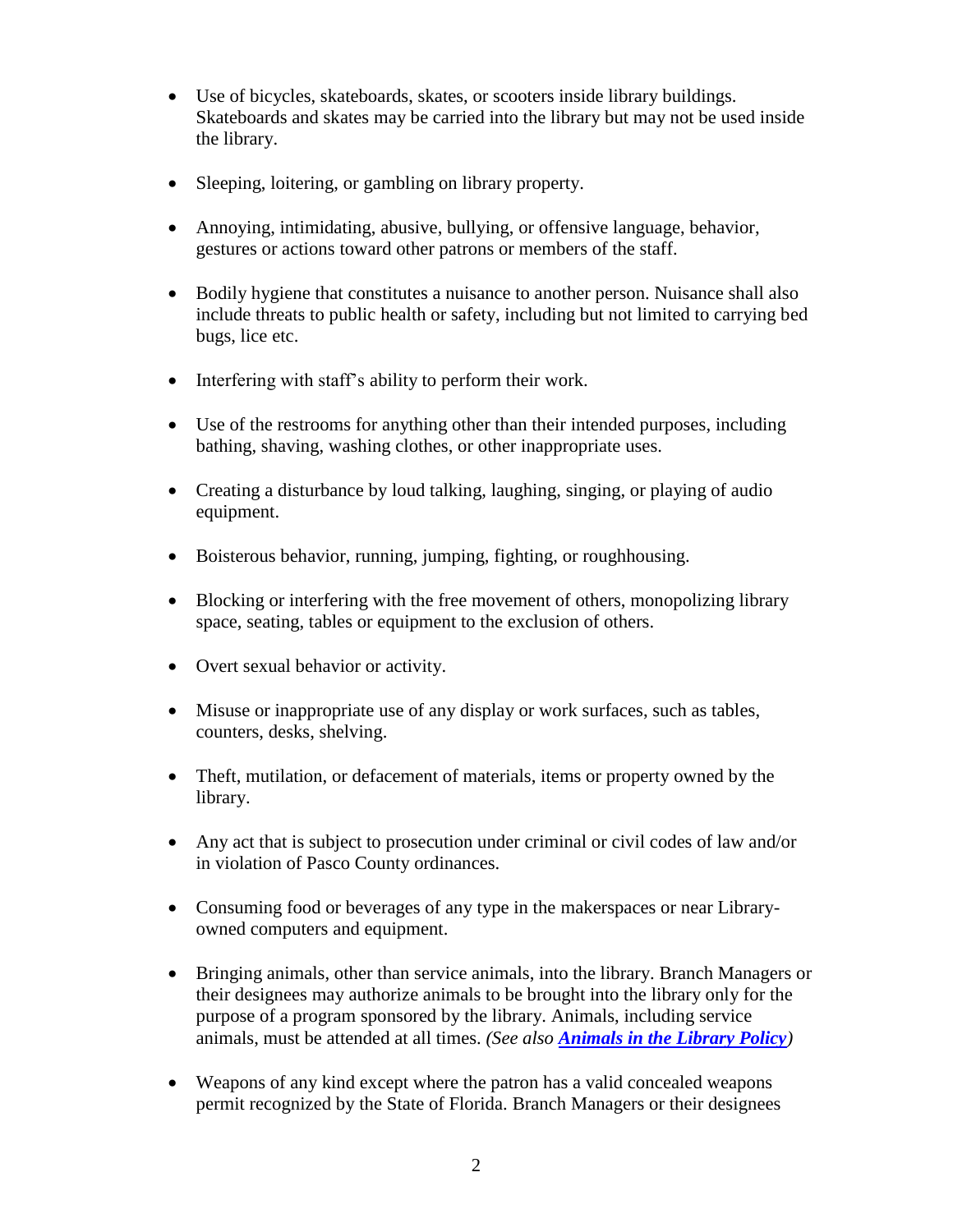- Use of bicycles, skateboards, skates, or scooters inside library buildings. Skateboards and skates may be carried into the library but may not be used inside the library.
- Sleeping, loitering, or gambling on library property.
- Annoying, intimidating, abusive, bullying, or offensive language, behavior, gestures or actions toward other patrons or members of the staff.
- Bodily hygiene that constitutes a nuisance to another person. Nuisance shall also include threats to public health or safety, including but not limited to carrying bed bugs, lice etc.
- Interfering with staff's ability to perform their work.
- Use of the restrooms for anything other than their intended purposes, including bathing, shaving, washing clothes, or other inappropriate uses.
- Creating a disturbance by loud talking, laughing, singing, or playing of audio equipment.
- Boisterous behavior, running, jumping, fighting, or roughhousing.
- Blocking or interfering with the free movement of others, monopolizing library space, seating, tables or equipment to the exclusion of others.
- Overt sexual behavior or activity.
- Misuse or inappropriate use of any display or work surfaces, such as tables, counters, desks, shelving.
- Theft, mutilation, or defacement of materials, items or property owned by the library.
- Any act that is subject to prosecution under criminal or civil codes of law and/or in violation of Pasco County ordinances.
- Consuming food or beverages of any type in the makerspaces or near Libraryowned computers and equipment.
- Bringing animals, other than service animals, into the library. Branch Managers or their designees may authorize animals to be brought into the library only for the purpose of a program sponsored by the library. Animals, including service animals, must be attended at all times. *(See also [Animals in the Library Policy](../../../../files/policies/AnimalPolicy.pdf))*
- Weapons of any kind except where the patron has a valid concealed weapons permit recognized by the State of Florida. Branch Managers or their designees